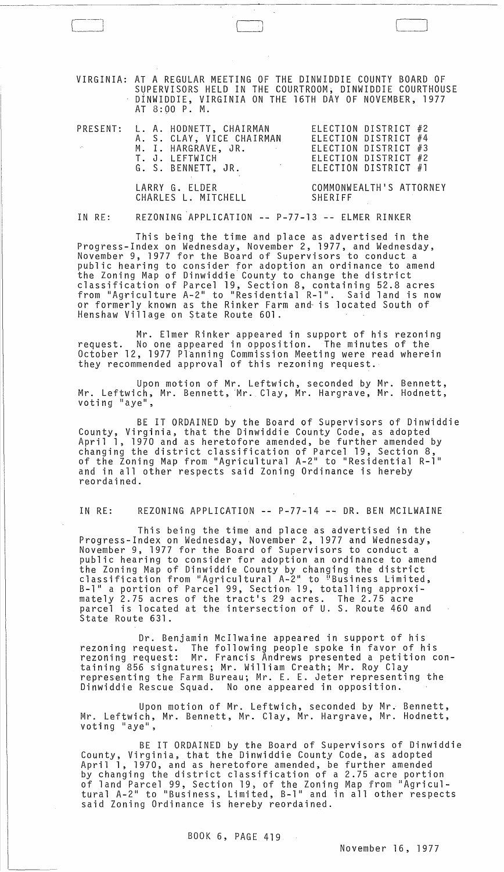VIRGINIA: AT A REGULAR MEETING OF THE DINWIDDIE COUNTY BOARD OF SUPERVISORS HELD IN THE COURTROOM; DINWIDDIE COURTHOUSE DINWIDDIE, VIRGINIA ON THE 16TH DAY OF NOVEMBER, 1977 AT 8:90 P. M.

 $\sqrt{3}$ 

| $\mathcal{L}^{\mathbf{m}_{\mathbf{q}}}.$ | PRESENT: L. A. HODNETT, CHAIRMAN<br>A. S. CLAY, VICE CHAIRMAN<br>M. I. HARGRAVE, JR.<br>$\mathcal{L}_{\mathcal{A}}$ and $\mathcal{L}_{\mathcal{A}}$ and $\mathcal{L}_{\mathcal{A}}$ and $\mathcal{L}_{\mathcal{A}}$<br>T. J. LEFTWICH<br>$\label{eq:2.1} \frac{1}{2} \int_{\mathbb{R}^3} \frac{1}{\sqrt{2}} \, \frac{1}{\sqrt{2}} \, \frac{1}{\sqrt{2}} \, \frac{1}{\sqrt{2}} \, \frac{1}{\sqrt{2}} \, \frac{1}{\sqrt{2}} \, \frac{1}{\sqrt{2}} \, \frac{1}{\sqrt{2}} \, \frac{1}{\sqrt{2}} \, \frac{1}{\sqrt{2}} \, \frac{1}{\sqrt{2}} \, \frac{1}{\sqrt{2}} \, \frac{1}{\sqrt{2}} \, \frac{1}{\sqrt{2}} \, \frac{1}{\sqrt{2}} \, \frac{1}{\sqrt{2}} \,$<br>G. S. BENNETT, JR. | ELECTION DISTRICT #2<br>ELECTION DISTRICT #4<br>ELECTION DISTRICT #3<br>ELECTION DISTRICT #2<br>ELECTION DISTRICT #1 |
|------------------------------------------|---------------------------------------------------------------------------------------------------------------------------------------------------------------------------------------------------------------------------------------------------------------------------------------------------------------------------------------------------------------------------------------------------------------------------------------------------------------------------------------------------------------------------------------------------------------------------------------------------------------------------------------------------------------------------------|----------------------------------------------------------------------------------------------------------------------|
|                                          | LARRY G. ELDER<br>CHARLES L. MITCHELL                                                                                                                                                                                                                                                                                                                                                                                                                                                                                                                                                                                                                                           | COMMONWEALTH'S ATTORNEY<br>SHERIFF                                                                                   |

IN RE: REZONING APPLICATION -- P-77-13 -- ELMER RINKER

This being the time and place as advertised in the<br>Progress-Index on Wednesday, November 2, 1977, and Wednesday, Progress-Index on Wednesday, November 2, 1977, and Wednesday,<br>November 9, 1977 for the Board of Supervisors to conduct a public hearing to consider for adoption an ordinance to amend the Zoning Map of Dinwiddie' County to change the district classification of Parcel 19, Section 8, containing 52.8 acres from "Agriculture A-2" to "Residential R-l". Said land is now or formerly known as the Rinker Farm and- is located South of Henshaw Village on State Route 601.

Mr. Elmer Rinker appeared in support of his rezoning request. No one appeared in opposition. The minutes of the October 12, 1977 Planning Commission Meeting were read wherein they recommended approval of this rezoning request.

Upon motion of Mr. Leftwich, seconded by Mr. Bennett, Mr. Leftwich, Mr. Bennett, Mr. Clay, Mr. Hargrave, Mr. Hodnett, voting "aye",

BE IT ORDAINED by the Board of Supervisors of Dinwiddie County, Virginia, that the Dinwiddie County Code, as adopted April 1, 1970 and as heretofore amended, be further amended by changing the district classification of Parcel 19, Section 8, of the Zoning Map from "Agricultural A-2" to "Residential R-l" and in all other respects said Zoning Ordinance is hereby reordained.

IN RE: REZONING APPLICATION -- P-77-14 -- DR. BEN MCILWAINE

This being the time and place as advertised in the Progress-Index on Wednesday, November 2, 1977 and Wednesday, November 9, 1977 for the Board of Supervisors to conduct a public hearing to consider for adoption an ordinance to amend the Zoning Map of Dinwiddie County by changing the district chassification from "Agricultural A-2" to "Business Limited, B-1" a portion of Parcel 99, Section 19, totalling approximate1y 2.75 acres of the tract's 29 acres. The 2.75 acre parcel is located at the intersection of U. S. Route 460 and State Route 631.

Dr. Benjamin McI1waine appeared in support of his rezoning request. The fallowing people spoke in favor of his rezoning request: Mr. Francis Andrews presented a petition containing 856 signatures; Mr. William Creath; Mr. Roy Clay representing the Farm Bureau; Mr. E. E. Jeter representing the Dinwiddie Rescue Squad. No one appeared in opposition.

Upon motion of Mr. Leftwich, seconded by Mr. Bennett, Mr. Leftwich, Mr. Bennett, Mr. Clay, Mr. Hargrave, Mr. Hodnett, voting "aye",

BE IT ORDAINED by the Board of Supervisors of Dinwiddie County, Virginia, that the Dinwiddie County Code, as adopted April 1, 1970, and as heretofore amended, be further amended by changing the district classification of a 2.75 acre portion of land Parcel 99, Section 19, of the Zoning Map from "Agricul-<br>tural A-2" to "Business, Limited, B-1" and in all other respects said Zoning Ordinance is hereby reordained.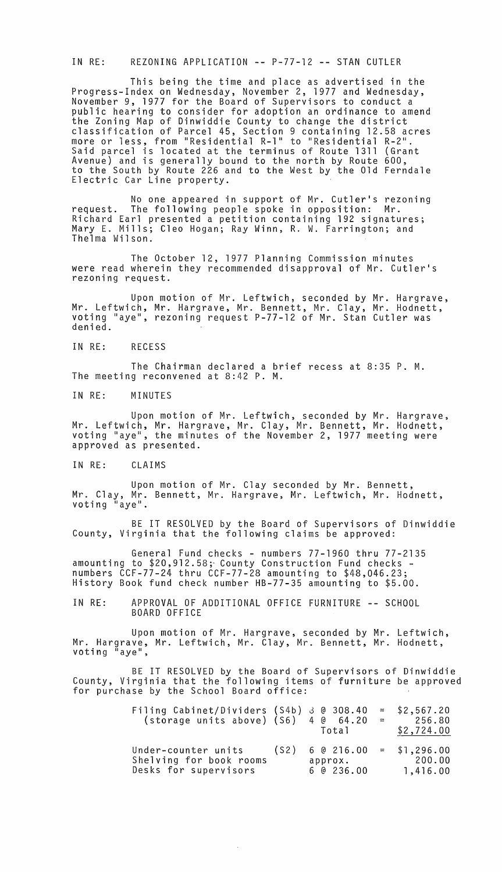IN RE: REZONING APPLICATION -- P-77-12 -- STAN CUTLER

This being the time and place as advertised in the Progress-Index on Wednesday, November 2, 1977 and Wednesday, November 9, 1977 for the Board of Supervisors to conduct a public hearing to consider for adoption an ordinance to amend the Zoning Map of Dinwiddie County to change the district classification of Parcel 45, Section 9 containing 12.58 acres more or less, from "Residential R-l" to "Residential R-2". Said parcel is located at the terminus of Route 1311 (Grant Avenue) and is generally bound to the north by Route 600, to the South by Route 226 and to the West by the Old Ferndale Electric Car Line property.

No one appeared in support of Mr. Cutler's rezoning request. The following people spoke in opposition: Mr. Richard Earl presented a petition containing 192 signatures; Mary E. Mills; Cleo Hogan; Ray Winn, R. W. Farrington; and Thelma Wilson.

The October 12, 1977 Planning Commission minutes were read wherein they recommended disapproval of Mr. Cutler's rezoning request.

Upon motion of Mr. Leftwich, seconded by Mr. Hargrave, Mr. Leftwich, Mr. Hargrave, Mr. Bennett, Mr. Clay, Mr. Hodnett, voting "aye", rezoning request P-77-12 of Mr. Stan Cutler was denied.

IN RE: RECESS

The Chairman declared a brief recess at 8:35 P. M. The meeting reconvened at 8:42 P. M.

IN RE: MINUTES

Upon motion of Mr. Leftwich, seconded by Mr. Hargrave, Mr. Leftwich, Mr. Hargrave, Mr. Clay, Mr. Bennett, Mr. Hodnett, voting "aye", the minutes of the November 2, 1977 meeting were approved as presented.

IN RE: CLAIMS

Upon motion of Mr. Clay seconded by Mr. Bennett, Mr. Clay, Mr. Bennett, Mr. Hargrave, Mr. Leftwich, Mr. Hodnett, voting "aye".

BE IT RESOLVED by the Board of Supervisors of Dinwiddie County, Virginia that the following claims be approved:

General Fund checks - numbers 77-1960 thru 77-2135<br>amounting to \$20,912.58; County Construction Fund checks numbers  $\text{CCF}-77-24$  thru  $\text{CCF}-77-\text{28}$  amounting to  $$48,046.23;$ History Book fund check number HB-77-35 amounting to \$5.00.

IN RE: APPROVAL OF ADDITIONAL OFFICE FURNITURE -- SCHOOL BOARD OFFICE

Upon motion of Mr. Hargrave, seconded by Mr. Leftwich, Mr. Hargrave, Mr. Leftwich, Mr. Clay, Mr. Bennett, Mr. Hodnett, voting "aye"

BE IT RESOLVED by the Board of Supervisors of Dinwiddie County, Virginia that the following items of furniture be approved for purchase by the School Board office:

| Filing Cabinet/Dividers (S4b) 3 @ 308.40<br>(storage units above) (S6)       | 4 @ 64.20<br>Total                                                   | $\frac{1}{2}$ and $\frac{1}{2}$ . The $\frac{1}{2}$ | $=$ \$2,567.20<br>256.80<br>\$2,724.00 |
|------------------------------------------------------------------------------|----------------------------------------------------------------------|-----------------------------------------------------|----------------------------------------|
| Under-counter units (S2)<br>Shelving for book rooms<br>Desks for supervisors | $6 \t0 \t216.00 = $1,296.00$<br>approx. 200.00<br>$6 \; 0 \; 236.00$ |                                                     | 1,416.00                               |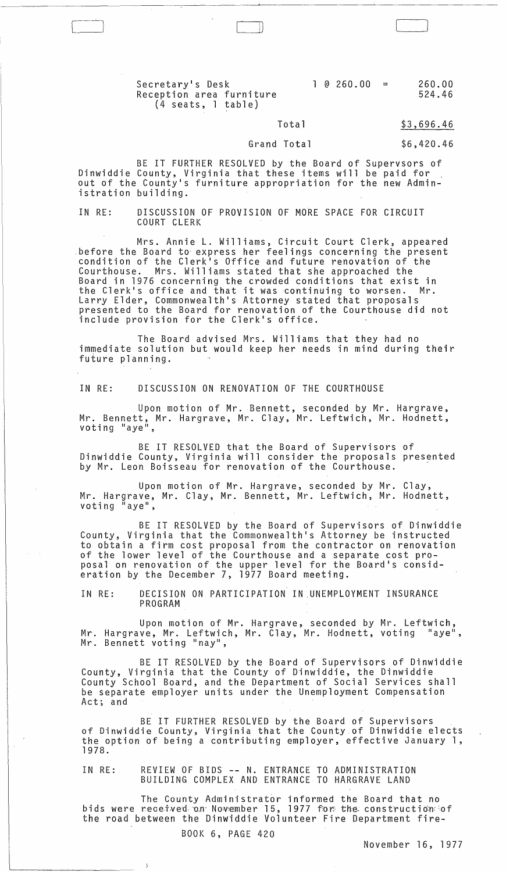$1 \t0 \t260.00 = 260.00$ 524.46

## Secretary's Desk Reception area furniture (4 seats, 1 table)

#### Total \$3,696.46

### Grand Total

BE IT FURTHER RESOLVED by the Board of Supervsors of Dinwiddie County, Virginia that these items will be paid for out of the County's furniture appropriation for the new Administration building.

IN RE: DISCUSSION OF PROVISION OF MORE SPACE FOR CIRCUIT COURT CLERK

Mrs. Annie L. Williams, Circuit Court Clerk, appeared .before the Board to' express her feelings concerning the present condition of the Clerk's Office and future renovation of the Courthouse. Mrs. Williams stated that she approached the Board in 1976 concerning the crowded conditions that exist in board in 1970 concerning the crowded conditions that exist in<br>the Clerk's office and that it was continuing to worsen. Mr. Larry Elder, Commonwealth's Attorney stated that proposals presented to the Board for renovation of the Courthouse did not include provision for the Clerk's office.

The Board advised Mrs. Williams that they had no immediate solution but would keep her needs in mind during their future planning.

IN RE: DISCUSSION ON RENOVATION OF THE COURTHOUSE

Upon motion of Mr. Bennett, seconded by Mr. Hargrave, Mr. Bennett, Mr. Hargrave, Mr. Clay, Mr. Leftwich, Mr. Hodnett, voting "aye",

BE IT RESOLVED that the Board of Supervisors of Dinwiddie County, Virginia will consider the proposals presented by Mr. Leon Boisseau for renovation of the Courthouse.

Upon motion of Mr. Hargrave, seconded by Mr. Clay, Mr. Hargrave, Mr. Clay, Mr. Bennett, Mr. Leftwich, Mr. Hodnett, voting "aye",

BE IT RESOLVED by the Board of Supervisors of Dinwiddie County, Virginia that the Commonwealth's Attorney be instructed to obtain a firm cost proposal from the contractor on renovation of the lower level of the Courthouse and a separate cost proposal on renovation of the upper level for the Board's consideration by the December 7, 1977 Board meeting.

IN RE: DECISION ON PARTICIPATION IN UNEMPLOYMENT INSURANCE PROGRAM

Upon motion of Mr. Hargrave, seconded by Mr. Leftwich, Mr. Hargrave, Mr. Leftwich, Mr. Clay, Mr. Hodnett, voting "aye",<br>Mr. Bennett voting "nay",

BE IT RESOLVED by the Board of Supervisors of Dinwiddie County, Virginia that the County of Dinwiddie, the Dinwiddie County School Board, and the Department of Social Services shall be separate employer units under the Unemployment Compensation Act; and

BE IT FURTHER RESOLVED by the Board of Supervisors of Dinwiddie County, Virginia that the County of Dinwiddie elects the option of being a contributing employer, effective January 1, 1978.

IN RE: REVIEW OF BIDS **--** N. ENTRANCE TO ADMINISTRATION BUILDING COMPLEX AND ENTRANCE TO HARGRAVE LAND

The County Administrator informed the Board that no bids were received on November 15, 1977 for the construction of the road between the Dinwiddie Volunteer Fire Department fire-

BOOK 6, PAGE 420

 $\mathbf{J}$ 

November 16, 1977

\$6,420.46

# I)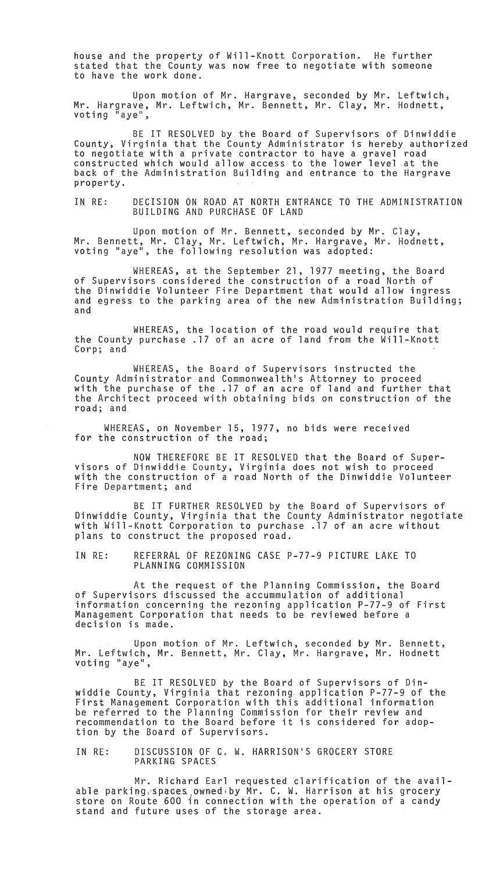house and the property of Will-Knott Corporation. He further stated that the County was now free to negotiate with someone to have the work done.

Upon motion of Mr. Hargrave, seconded by Mr. Leftwich, Mr. Hargrave, Mr. Leftwich, Mr. Bennett, Mr. Clay, Mr. Hodnett, voting "aye",

BE IT RESOLVED by the Board of Supervisors of Dinwiddie County, Virginia that the County Administrator is hereby authorized to negotiate with a private contractor to have a gravel road constructed which would allow access to the lower level at the back of the Administration Building and entrance to the Hargrave property.

IN RE: DECISION ON ROAD AT NORTH ENTRANCE TO THE ADMINISTRATION BUILDING AND PURCHASE OF LAND

Upon motion of Mr. Bennett, seconded by Mr. Clay, Mr. Bennett, Mr. Clay, Mr. Leftwich, Mr. Hargrave, Mr. Hodnett, voting "aye", the following resolution was adopted:

WHEREAS, at the September 21, 1977 meeting, the Board of Supervisors considered the construction of a road North of the Dinwiddie Volunteer Fire Department that would allow ingress and egress to the parking area of the new Administration Building; and

WHEREAS, the location of the road would require that the County purchase .17 of an acre of land from the Will-Knott Corp; and

WHEREAS, the Board of Supervisors instructed the County Administrator and Commonwealth1s Attorney to proceed with the purchase of the. 17 of an acre of land and further that the Architect proceed with obtaining bids on construction of the road; and

WHEREAS, on November 15, 1977, no bids were received for the construction of the road;

NOW THEREFORE BE IT RESOLVED that the Board of Super- visors of Dinwiddie County, Virginia does not wi5h to proceed with the construction of a road North of the Dinwiddie Volunteer Fire Department; and

BE IT FURTHER RESOLVED by the Board of Supervisors of Dinwiddie County, Virginia that the County Administrator negotiate with Will-Knott Corporation to purchase .17 of an acre without plans to construct the proposed road.

IN RE: REFERRAL OF REZONING CASE P-77-9 PICTURE LAKE TO PLANNING COMMISSION

At the request of the Planning Commission, the Board of Supervisors discussed the accummulation of additional information concerning the rezoning application P-77-9 of First Management Corporation that needs to be reviewed before a decision is made.

Upon motion of Mr. Leftwich, seconded by Mr. Bennett, Mr. Leftwich, Mr. Bennett, Mr. Clay, Mr. Hargrave, Mr. Hodnett voting "aye",

BE IT RESOLVED by the Board of Supervisors of Dinwiddie County, Virginia that rezoning. application P-77-9 of the First Management Corporation with this additional information be referred to the Planning Commission for their review and recommendation to the Board before it is considered for adoption by the Board of Supervisors.

IN RE: DISCUSSION OF C. W. HARRISON'S GROCERY STORE PARKING SPACES

Mr. Richard Earl requested clarification of the available parking spaces owned by Mr. C. W. Harrison at his grocery store on Route 600 in connection with the operation of a candy stand and future uses of the storage area.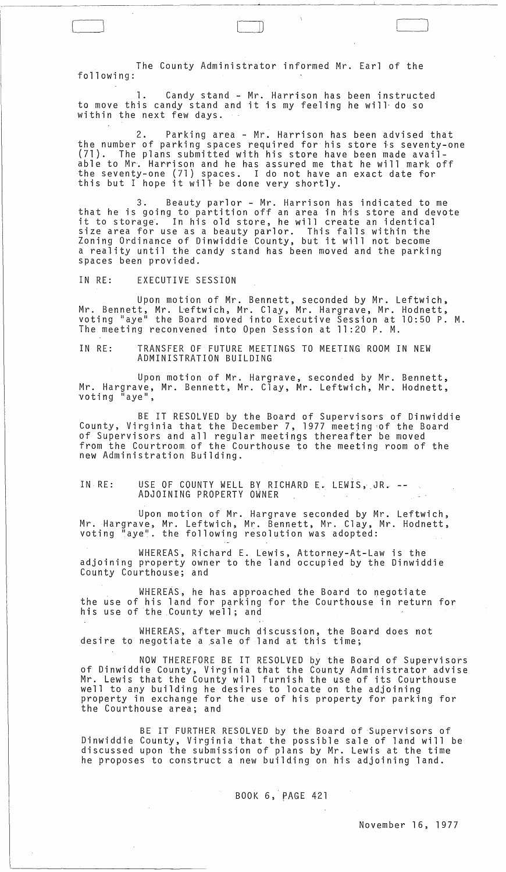The County Administrator informed Mr. Earl of the following:

1. Candy stand - Mr. Harrison has been instructed to move this candy stand and it is my feeling he will- do so within the next few days.

2. Parking area - Mr. Harrison has been advised that the number of parking spaces required for his store is seventy-one (71). The plans submitted with his store have been made available to Mr. Harrison and he has assured me that he will mark off the seventy-one (71) spaces. I do not have an exact date for one sevency one (71) spaces. I do not have an

3. Beauty parlor - Mr. Harrison has indicated to me that he is going to partition off an area in his store and devote it to storage. In his old store, he will create an identical size area for use as a beauty parlor. This falls within the Zoning Ordinance of Dinwiddie County, but it will not become a reality until the candy stand has been moved and the parking spaces been provided.

IN RE: EXECUTIVE SESSION

 $\mathcal{L}$ 

Upon motion of Mr. Bennett, seconded by Mr. Leftwich, Mr. Bennett, Mr. L-eftwich, Mr. Clay, Mr. Hargrave, Mr. Hodnett, voting "aye" the Board moved into Executive Session at 10:50 P. M. The meeting reconvened into Open Session at 11 :20 P. M.

IN RE: TRANSFER OF FUTURE MEETINGS TO MEETING ROOM IN NEW ADMINISTRATION BUILDING

Upon motion of Mr. Hargrave, seconded by Mr. Bennett, Mr. Hargrave, Mr. Bennett, Mr. Clay, Mr. Leftwich, Mr. Hodnett, voting "aye",

BE IT RESOLVED by the Board of Supervisors of Dinwiddie County, Virginia that the December 7, 1977 meetjng 'of the Board of Supervisors and all regular meetings thereafter be moved from the Courtroom of the Courthouse to the meeting room of the new Administration Building.

IN RE: USE OF COUNTY WELL BY RICHARD E. LEWIS,.JR. ADJOINING PROPERTY OWNER

Upon motion of Mr. Hargrave seconded by Mr. Leftwich, Mr. Hargrave, Mr. Leftwich, Mr. Bennett, Mr. Clay, Mr. Hodnett, voting "aye". the following resolution was adopted:

WHEREAS, Richard E. Lewis, Attorney-At-Law is the adjoining property owner to the land occupied by the Dinwiddie County Courthouse; and

WHEREAS, he has approached the Board to negotiate the use of his land for parking for the Courthouse in return for his use of the County well; and

WHEREAS, after much discussion, the Board does not desire to negotiate a sale of land at this time;

NOW THEREFORE BE IT RESOLVED by the Board of Supervisors of Dinwiddie County, Virginia that the County Administrator advise Mr. Lewis that the County will furnish the use of its Courthouse well to any building he desires to locate on the adjoining property in exchange for the use of his property for parking for the Courthouse area; and

BE IT FURTHER RESOLVED by the Board of Supervisors of Dinwiddie County, Virginia that the possible sale of land will be discussed upon the submission of plans by Mr. Lewis at the time he proposes to construct a new building on his adjoining land.